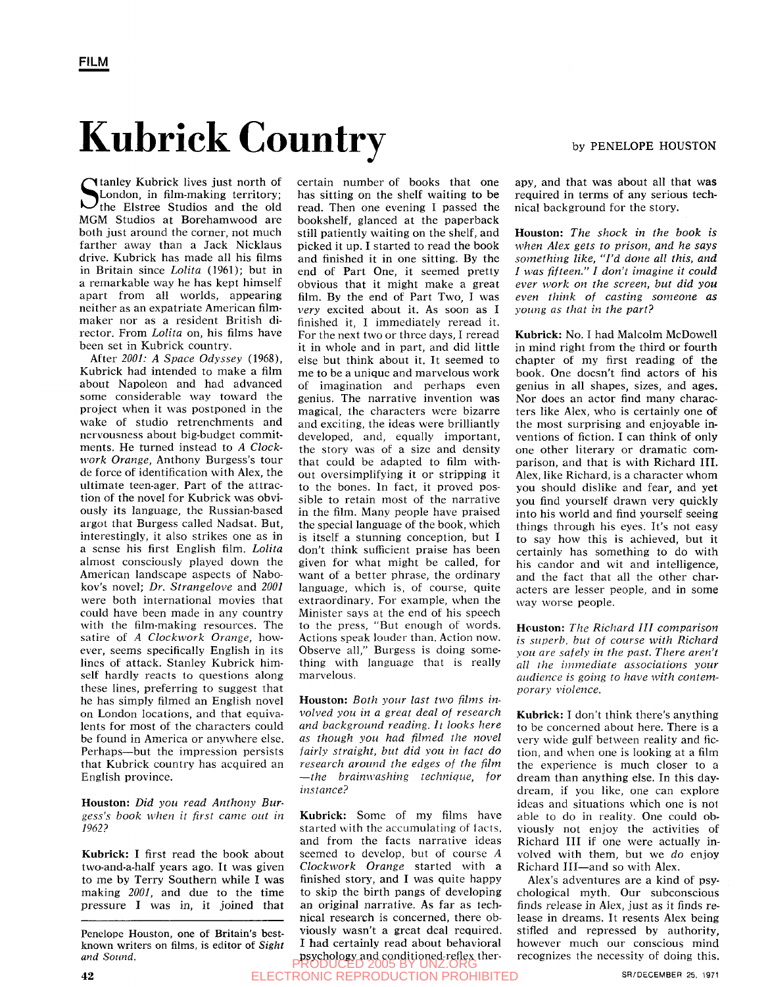## Kubrick Country

Stanley Kubrick lives just north of<br>
London, in film-making territory;<br>
the Elstree Studios and the old London, in film-making territory; the Elstree Studios and the old MGM Studios at Borehamwood are both just around the corner, not much farther away than a Jack Nicklaus drive. Kubrick has made all his films in Britain since *Lolita* (1961); but in a remarkable way he has kept himself apart from all worlds, appearing neither as an expatriate American filmmaker nor as a resident British director. From *Lolita* on, his films have been set in Kubrick country.

After *2001: A Space Odyssey* (1968), Kubrick had intended to make a film about Napoleon and had advanced some considerable way toward the project when it was postponed in the wake of studio retrenchments and nervousness about big-budget commitments. He turned instead to *A Clockwork Orange,* Anthony Burgess's tour de force of identification with Alex, the ultimate teen-ager. Part of the attraction of the novel for Kubrick was obviously its language, the Russian-based argot that Burgess called Nadsat. But, interestingly, it also strikes one as in a sense his first English film. *Lolita*  almost consciously played down the American landscape aspects of Nabokov's novel; *Dr. Strangelove* and *2001*  were both international movies that could have been made in any country with the film-making resources. The satire of *A Clockwork Orange,* however, seems specifically English in its lines of attack. Stanley Kubrick himself hardly reacts to questions along these lines, preferring to suggest that he has simply filmed an English novel on London locations, and that equivaon London focations, and that equivalents for most of the characters could be found in America or anywhere else. Perhaps—but the impression persists that Kubrick country has acquired an English province.

**Houston:** *Did you read Anthony Burgess's book when it first came out in 1962?* 

**Kubrick: I** first read the book about two-and-a-half years ago. It was given to me by Terry Southern while I was making *2001,* and due to the time pressure I was in, it joined that

Penelope Houston, one of Britain's bestknown writers on films, is editor of *Sight and Sound.* 

certain number of books that one has sitting on the shelf waiting to be read. Then one evening I passed the bookshelf, glanced at the paperback still patiently waiting on the shelf, and picked it up. I started to read the book and finished it in one sitting. By the end of Part One, it seemed pretty obvious that it might make a great film. By the end of Part Two, I was *very* excited about it. As soon as I finished it, I immediately reread it. For the next two or three days, I reread it in whole and in part, and did little else but think about it. It seemed to me to be a unique and marvelous work of imagination and perhaps even genius. The narrative invention was magical, the characters were bizarre and exciting, the ideas were brilliantly developed, and, equally important, the story was of a size and density that could be adapted to film without oversimplifying it or stripping it to the bones. In fact, it proved possible to retain most of the narrative in the film. Many people have praised the special language of the book, which is itself a stunning conception, but I don't think sufficient praise has been given for what might be called, for given for what might be cancu, for want of a better pin ase, the ordinary ranguage, which is, or course, quite extraordinary. For example, when the Minister says at the end of his speech  $t$  the press,  $t$  and  $t$  is speech the press,  $t$  and  $t$  and  $t$  and  $t$  and  $t$  and  $t$  and  $t$  and  $t$  and  $t$  and  $t$  and  $t$  and  $t$  and  $t$  and  $t$  and  $t$  and  $t$  and  $t$  and  $t$  and  $t$  and  $t$  and  $t$  and  $t$  a to the press, but enough of words. Actions speak louder than. Action now. Observe all," Burgess is doing something with language that is really<br>marvelous.

**Houston:** *Both your last two films involved you in a great deal of research and background reading. It looks here as though you had filmed the novel fairly straight, but did you in fact do research around the edges of the film*  —*the brainwashing technique, for instance?* 

**Kubrick:** Some of my films have started with the accumulating of facts, and from the facts narrative ideas seemed to develop, but of course *A Clockwork Orange* started with a finished story, and I was quite happy to skip the birth pangs of developing an original narrative. As far as technical research is concerned, there obviously wasn't a great deal required. I had certainly read about behavioral psychology and conditioned-reflex ther-PRODUCED 2005 BY UNZ.ORG

**42 SR/DECEMBER 25. 1971** ELECTRONIC REPRODUCTION PROHIBITED **SR/DECEMBER 25. 1971** 

apy, and that was about all that was required in terms of any serious technical background for the story.

**Houston:** *The shock in the book is when Alex gets to prison, and he says something like, "I'd done all this, and I was fifteen." I don't imagine it could ever work on the screen, but did you even think of casting someone as young as that in the part?* 

**Kubrick:** No. I had Malcolm McDowell in mind right from the third or fourth chapter of my first reading of the book. One doesn't find actors of his genius in all shapes, sizes, and ages. Nor does an actor find many characters like Alex, who is certainly one of the most surprising and enjoyable inventions of fiction. I can think of only one other literary or dramatic comparison, and that is with Richard **III.**  Alex, like Richard, is a character whom you should dislike and fear, and yet you find yourself drawn very quickly into his world and find yourself seeing things through his eyes. It's not easy to say how this is achieved, but it certainly has something to do with his candor and wit and intelligence, and the fact that all the other characters are lesser people, and in some way worse people.

Houston: *The Richard III comparison is superb, but of course with Richard you are safely in the past. There aren't all the in-nnediate associations your audience is going to have with contemporary violence.* 

**Kubrick:** I don't think there's anything to be concerned about here. There is a very wide gulf between reality and fiction, and when one is looking at a film the experience is much closer to a dream than anything else. In this daydream, if you like, one can explore ideas and situations which one is not able to do in reality. One could obviously not enjoy the activities of Richard **III** if one were actually involved with them, but we *do* enjoy Richard III—and so with Alex.

Alex's adventures are a kind of psychological myth. Our subconscious finds release in Alex, just as it finds release in dreams. It resents Alex being stifled and repressed by authority, however much our conscious mind recognizes the necessity of doing this.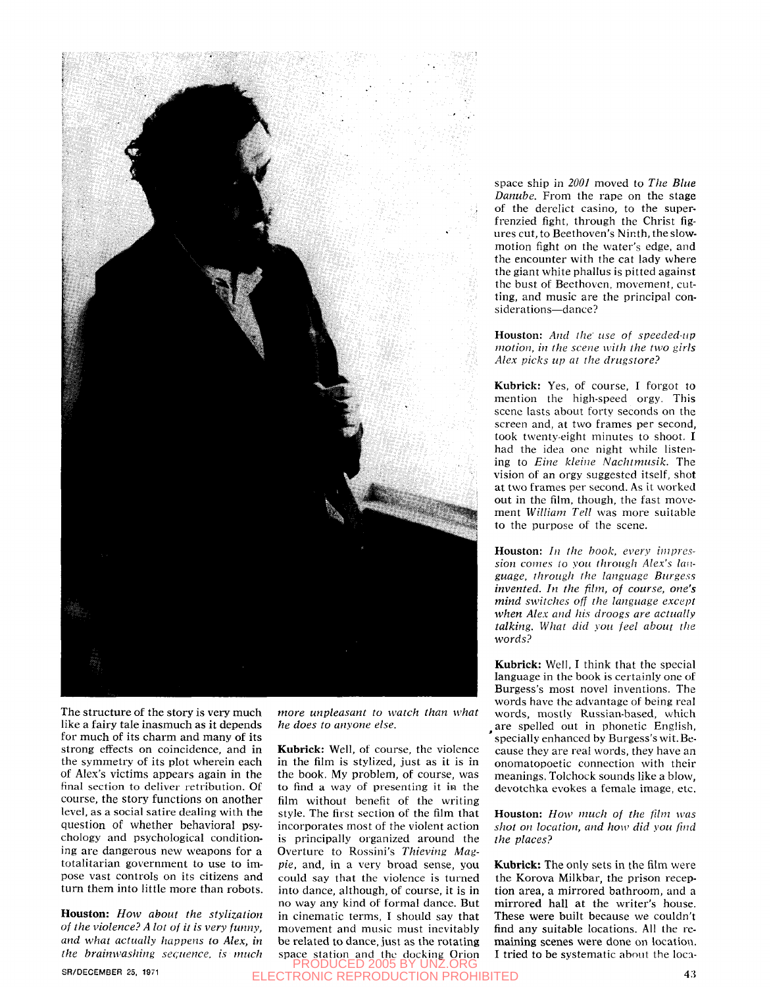

The structure of the story is very much like a fairy tale inasmuch as it depends for much of its charm and many of its strong effects on coincidence, and in the symmetry of its plot wherein each of Alex's victims appears again in the final section to deliver retribution. Of course, the story functions on another level, as a social satire dealing with the question of whether behavioral psychology and psychological conditioning are dangerous new weapons for a totalitarian government to use to impose vast controls on its citizens and turn them into little more than robots.

**Houston:** *How about the stylization of the violence? A lot of it is very funny, and what actually happens to Alex, in the brainwashing sec;uence. is much* 

*more unpleasant to watch than what he does to anyone else.* 

**Kubrick:** Well, of course, the violence in the film is stylized, just as it is in the book. My problem, of course, was to find a way of presenting it in the film without benefit of the writing style. The first section of the film that incorporates most of the violent action is principally organized around the Overture to Rossini's *Thieving Magpie,* and, in a very broad sense, you could say that the violence is turned into dance, although, of course, it is in no way any kind of formal dance. But in cinematic terms, I should say that movement and music must inevitably be related to dance, just as the rotating space station and the docking Orion space ship in *2001* moved to *The Blue Danube.* From the rape on the stage of the derelict casino, to the superfrenzied fight, through the Christ figures cut, to Beethoven's Ninth, the slowmotion fight on the water's edge, and the encounter with the cat lady where the giant white phallus is pitted against the bust of Beethoven, movement, cutting, and music are the principal considerations—dance ?

**Houston:** *And the' use of speeded-up motion, in the scene with the two girls Alex picks up at the drugstore?* 

**Kubrick:** Yes, of course, I forgot to mention the high-speed orgy. This scene lasts about forty seconds on the screen and, at two frames per second, took twenty-eight minutes to shoot. I had the idea one night while listening to *Eine kleine Nachtmusik*. The vision of an orgy suggested itself, shot at two frames per second. As it worked out in the film, though, the fast movement *William Tell* was more suitable to the purpose of the scene.

**Houston:** *In the hook, every inipres*sion comes to you through Alex's lan*guage, through the language Burgess invented. In the film, of course, one's mind switches off the language except when Alex and his droogs are actually talking. What did you feel about the words?* 

**Kubrick:** Well, I think that the special language in the book is certainly one of Burgess's most novel inventions. The words have the advantage of being real words, mostly Russian-based, which are spelled out in phonetic English, specially enhanced by Burgess's wit. Because they are real words, they have an onomatopoetic connection with their meanings. Tolchock sounds like a blow, devotchka evokes a female image, etc.

**Houston:** *How much of the fum was shot on location, and how did you find the places?* 

**Kubrick:** The only sets in the film were the Korova Milkbar, the prison reception area, a mirrored bathroom, and a mirrored hall at the writer's house. These were built because we couldn't find any suitable locations. All the remaining scenes were done on location. I tried to be systematic about the loca-

SR/DECEMBER 25, 1971 **4.5**  ELECTRONIC REPRODUCTION PROHIBITED**ODUCED 2005**